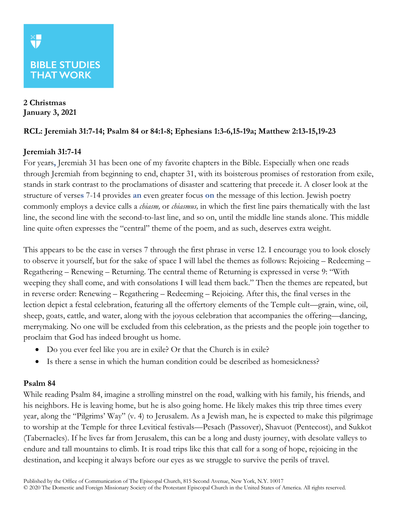**2 Christmas January 3, 2021**

## **RCL: Jeremiah 31:7-14; Psalm 84 or 84:1-8; Ephesians 1:3-6,15-19a; Matthew 2:13-15,19-23**

## **Jeremiah 31:7-14**

For years**,** Jeremiah 31 has been one of my favorite chapters in the Bible. Especially when one reads through Jeremiah from beginning to end, chapter 31, with its boisterous promises of restoration from exile, stands in stark contrast to the proclamations of disaster and scattering that precede it. A closer look at the structure of verse**s** 7-14 provides **an** even greater focus **on** the message of this lection. Jewish poetry commonly employs a device calls a *chiasm,* or *chiasmus,* in which the first line pairs thematically with the last line, the second line with the second-to-last line, and so on, until the middle line stands alone. This middle line quite often expresses the "central" theme of the poem, and as such, deserves extra weight.

This appears to be the case in verses 7 through the first phrase in verse 12. I encourage you to look closely to observe it yourself, but for the sake of space I will label the themes as follows: Rejoicing – Redeeming – Regathering – Renewing – Returning. The central theme of Returning is expressed in verse 9: "With weeping they shall come, and with consolations I will lead them back." Then the themes are repeated, but in reverse order: Renewing – Regathering – Redeeming – Rejoicing. After this, the final verses in the lection depict a festal celebration, featuring all the offertory elements of the Temple cult—grain, wine, oil, sheep, goats, cattle, and water, along with the joyous celebration that accompanies the offering—dancing, merrymaking. No one will be excluded from this celebration, as the priests and the people join together to proclaim that God has indeed brought us home.

- Do you ever feel like you are in exile? Or that the Church is in exile?
- Is there a sense in which the human condition could be described as homesickness?

#### **Psalm 84**

While reading Psalm 84, imagine a strolling minstrel on the road, walking with his family, his friends, and his neighbors. He is leaving home, but he is also going home. He likely makes this trip three times every year, along the "Pilgrims' Way" (v. 4) to Jerusalem. As a Jewish man, he is expected to make this pilgrimage to worship at the Temple for three Levitical festivals—Pesach (Passover), Shavuot (Pentecost), and Sukkot (Tabernacles). If he lives far from Jerusalem, this can be a long and dusty journey, with desolate valleys to endure and tall mountains to climb. It is road trips like this that call for a song of hope, rejoicing in the destination, and keeping it always before our eyes as we struggle to survive the perils of travel.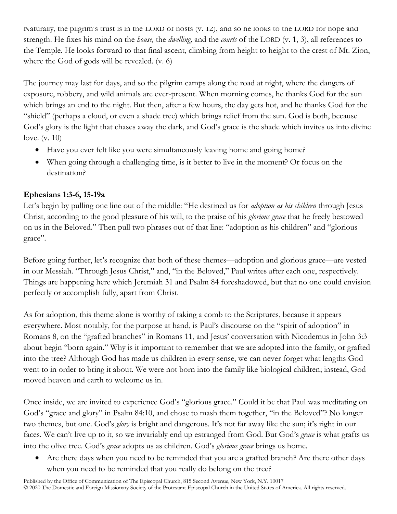Naturally, the pilgrim's trust is in the LORD of hosts (v. 12), and so he looks to the LORD for hope and strength. He fixes his mind on the *house,* the *dwelling,* and the *courts* of the LORD (v. 1, 3), all references to the Temple. He looks forward to that final ascent, climbing from height to height to the crest of Mt. Zion, where the God of gods will be revealed. (v. 6)

The journey may last for days, and so the pilgrim camps along the road at night, where the dangers of exposure, robbery, and wild animals are ever-present. When morning comes, he thanks God for the sun which brings an end to the night. But then, after a few hours, the day gets hot, and he thanks God for the "shield" (perhaps a cloud, or even a shade tree) which brings relief from the sun. God is both, because God's glory is the light that chases away the dark, and God's grace is the shade which invites us into divine love. (v. 10)

- Have you ever felt like you were simultaneously leaving home and going home?
- When going through a challenging time, is it better to live in the moment? Or focus on the destination?

# **Ephesians 1:3-6, 15-19a**

Let's begin by pulling one line out of the middle: "He destined us for *adoption as his children* through Jesus Christ, according to the good pleasure of his will, to the praise of his *glorious grace* that he freely bestowed on us in the Beloved." Then pull two phrases out of that line: "adoption as his children" and "glorious grace".

Before going further, let's recognize that both of these themes—adoption and glorious grace—are vested in our Messiah. "Through Jesus Christ," and, "in the Beloved," Paul writes after each one, respectively. Things are happening here which Jeremiah 31 and Psalm 84 foreshadowed, but that no one could envision perfectly or accomplish fully, apart from Christ.

As for adoption, this theme alone is worthy of taking a comb to the Scriptures, because it appears everywhere. Most notably, for the purpose at hand, is Paul's discourse on the "spirit of adoption" in Romans 8, on the "grafted branches" in Romans 11, and Jesus' conversation with Nicodemus in John 3:3 about begin "born again." Why is it important to remember that we are adopted into the family, or grafted into the tree? Although God has made us children in every sense, we can never forget what lengths God went to in order to bring it about. We were not born into the family like biological children; instead, God moved heaven and earth to welcome us in.

Once inside, we are invited to experience God's "glorious grace." Could it be that Paul was meditating on God's "grace and glory" in Psalm 84:10, and chose to mash them together, "in the Beloved"? No longer two themes, but one. God's *glory* is bright and dangerous. It's not far away like the sun; it's right in our faces. We can't live up to it, so we invariably end up estranged from God. But God's *grace* is what grafts us into the olive tree. God's *grace* adopts us as children. God's *glorious grace* brings us home.

• Are there days when you need to be reminded that you are a grafted branch? Are there other days when you need to be reminded that you really do belong on the tree?